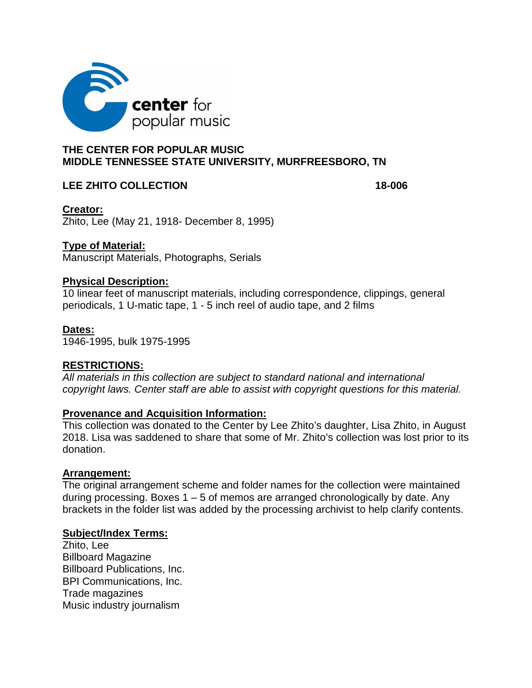

# **THE CENTER FOR POPULAR MUSIC MIDDLE TENNESSEE STATE UNIVERSITY, MURFREESBORO, TN**

### **LEE ZHITO COLLECTION 18-006**

**Creator:** Zhito, Lee (May 21, 1918- December 8, 1995)

### **Type of Material:**

Manuscript Materials, Photographs, Serials

### **Physical Description:**

10 linear feet of manuscript materials, including correspondence, clippings, general periodicals, 1 U-matic tape, 1 - 5 inch reel of audio tape, and 2 films

### **Dates:**

1946-1995, bulk 1975-1995

### **RESTRICTIONS:**

*All materials in this collection are subject to standard national and international copyright laws. Center staff are able to assist with copyright questions for this material.* 

### **Provenance and Acquisition Information:**

This collection was donated to the Center by Lee Zhito's daughter, Lisa Zhito, in August 2018. Lisa was saddened to share that some of Mr. Zhito's collection was lost prior to its donation.

### **Arrangement:**

The original arrangement scheme and folder names for the collection were maintained during processing. Boxes  $1 - 5$  of memos are arranged chronologically by date. Any brackets in the folder list was added by the processing archivist to help clarify contents.

### **Subject/Index Terms:**

Zhito, Lee Billboard Magazine Billboard Publications, Inc. BPI Communications, Inc. Trade magazines Music industry journalism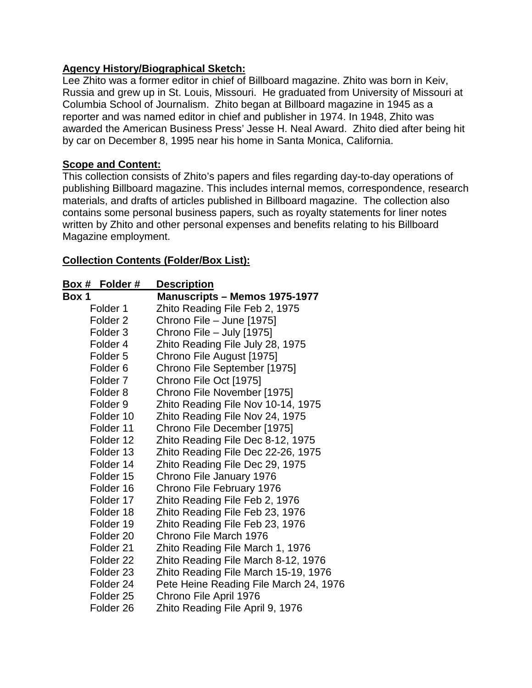# **Agency History/Biographical Sketch:**

Lee Zhito was a former editor in chief of Billboard magazine. Zhito was born in Keiv, Russia and grew up in St. Louis, Missouri. He graduated from University of Missouri at Columbia School of Journalism. Zhito began at Billboard magazine in 1945 as a reporter and was named editor in chief and publisher in 1974. In 1948, Zhito was awarded the American Business Press' Jesse H. Neal Award. Zhito died after being hit by car on December 8, 1995 near his home in Santa Monica, California.

# **Scope and Content:**

This collection consists of Zhito's papers and files regarding day-to-day operations of publishing Billboard magazine. This includes internal memos, correspondence, research materials, and drafts of articles published in Billboard magazine. The collection also contains some personal business papers, such as royalty statements for liner notes written by Zhito and other personal expenses and benefits relating to his Billboard Magazine employment.

# **Collection Contents (Folder/Box List):**

| Box # Folder #       | <b>Description</b>                     |
|----------------------|----------------------------------------|
| Box 1                | <b>Manuscripts - Memos 1975-1977</b>   |
| Folder <sub>1</sub>  | Zhito Reading File Feb 2, 1975         |
| Folder <sub>2</sub>  | Chrono File - June [1975]              |
| Folder 3             | Chrono File - July [1975]              |
| Folder 4             | Zhito Reading File July 28, 1975       |
| Folder <sub>5</sub>  | Chrono File August [1975]              |
| Folder <sub>6</sub>  | Chrono File September [1975]           |
| Folder <sub>7</sub>  | Chrono File Oct [1975]                 |
| Folder 8             | Chrono File November [1975]            |
| Folder <sub>9</sub>  | Zhito Reading File Nov 10-14, 1975     |
| Folder 10            | Zhito Reading File Nov 24, 1975        |
| Folder 11            | Chrono File December [1975]            |
| Folder 12            | Zhito Reading File Dec 8-12, 1975      |
| Folder 13            | Zhito Reading File Dec 22-26, 1975     |
| Folder 14            | Zhito Reading File Dec 29, 1975        |
| Folder 15            | Chrono File January 1976               |
| Folder 16            | Chrono File February 1976              |
| Folder 17            | Zhito Reading File Feb 2, 1976         |
| Folder 18            | Zhito Reading File Feb 23, 1976        |
| Folder 19            | Zhito Reading File Feb 23, 1976        |
| Folder <sub>20</sub> | Chrono File March 1976                 |
| Folder 21            | Zhito Reading File March 1, 1976       |
| Folder <sub>22</sub> | Zhito Reading File March 8-12, 1976    |
| Folder 23            | Zhito Reading File March 15-19, 1976   |
| Folder 24            | Pete Heine Reading File March 24, 1976 |
| Folder <sub>25</sub> | Chrono File April 1976                 |
| Folder <sub>26</sub> | Zhito Reading File April 9, 1976       |
|                      |                                        |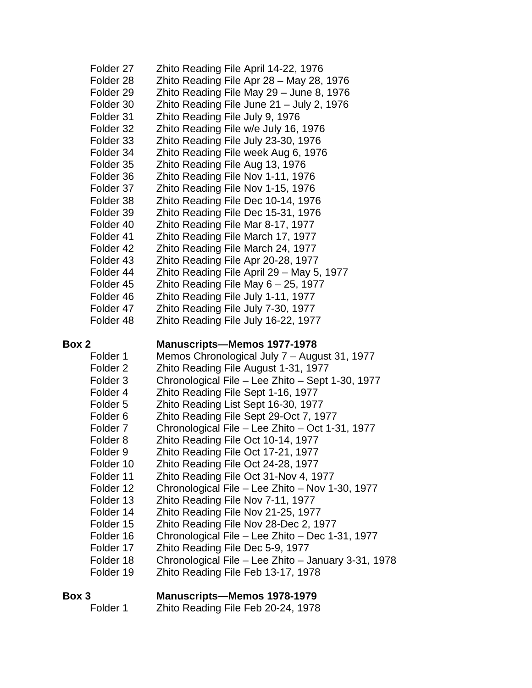| Folder <sub>27</sub> | Zhito Reading File April 14-22, 1976                                          |
|----------------------|-------------------------------------------------------------------------------|
| Folder 28            | Zhito Reading File Apr 28 - May 28, 1976                                      |
| Folder 29            | Zhito Reading File May 29 - June 8, 1976                                      |
| Folder 30            | Zhito Reading File June 21 - July 2, 1976                                     |
| Folder 31            | Zhito Reading File July 9, 1976                                               |
| Folder 32            | Zhito Reading File w/e July 16, 1976                                          |
| Folder 33            | Zhito Reading File July 23-30, 1976                                           |
| Folder 34            | Zhito Reading File week Aug 6, 1976                                           |
| Folder 35            | Zhito Reading File Aug 13, 1976                                               |
| Folder 36            | Zhito Reading File Nov 1-11, 1976                                             |
| Folder 37            | Zhito Reading File Nov 1-15, 1976                                             |
| Folder 38            | Zhito Reading File Dec 10-14, 1976                                            |
| Folder 39            | Zhito Reading File Dec 15-31, 1976                                            |
| Folder 40            | Zhito Reading File Mar 8-17, 1977                                             |
| Folder 41            | Zhito Reading File March 17, 1977                                             |
| Folder 42            | Zhito Reading File March 24, 1977                                             |
| Folder 43            | Zhito Reading File Apr 20-28, 1977                                            |
| Folder 44            | Zhito Reading File April 29 - May 5, 1977                                     |
| Folder <sub>45</sub> | Zhito Reading File May $6 - 25$ , 1977                                        |
| Folder 46            | Zhito Reading File July 1-11, 1977                                            |
| Folder 47            | Zhito Reading File July 7-30, 1977                                            |
| Folder 48            | Zhito Reading File July 16-22, 1977                                           |
| Box 2                | <b>Manuscripts-Memos 1977-1978</b>                                            |
| Folder 1             | Memos Chronological July 7 – August 31, 1977                                  |
| Folder <sub>2</sub>  | Zhito Reading File August 1-31, 1977                                          |
| Folder <sub>3</sub>  | Chronological File - Lee Zhito - Sept 1-30, 1977                              |
|                      | Zhito Reading File Sept 1-16, 1977                                            |
| Folder 4             |                                                                               |
| Folder <sub>5</sub>  |                                                                               |
| Folder <sub>6</sub>  | Zhito Reading List Sept 16-30, 1977<br>Zhito Reading File Sept 29-Oct 7, 1977 |
| Folder <sub>7</sub>  | Chronological File - Lee Zhito - Oct 1-31, 1977                               |
| Folder <sub>8</sub>  | Zhito Reading File Oct 10-14, 1977                                            |
| Folder 9             | Zhito Reading File Oct 17-21, 1977                                            |
| Folder 10            | Zhito Reading File Oct 24-28, 1977                                            |
| Folder 11            | Zhito Reading File Oct 31-Nov 4, 1977                                         |
| Folder 12            | Chronological File - Lee Zhito - Nov 1-30, 1977                               |
| Folder 13            | Zhito Reading File Nov 7-11, 1977                                             |
| Folder 14            | Zhito Reading File Nov 21-25, 1977                                            |
| Folder 15            | Zhito Reading File Nov 28-Dec 2, 1977                                         |
| Folder 16            | Chronological File - Lee Zhito - Dec 1-31, 1977                               |
| Folder 17            | Zhito Reading File Dec 5-9, 1977                                              |
| Folder 18            | Chronological File - Lee Zhito - January 3-31, 1978                           |
| Folder 19            | Zhito Reading File Feb 13-17, 1978                                            |
| Box 3                | <b>Manuscripts-Memos 1978-1979</b>                                            |

Folder 1 Zhito Reading File Feb 20-24, 1978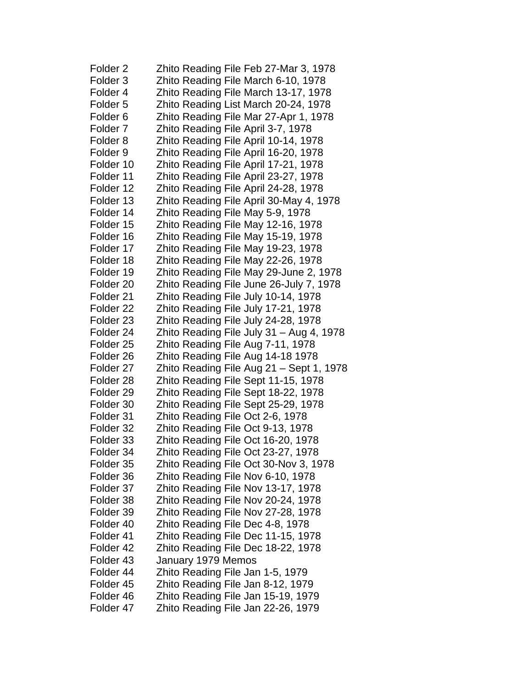| Folder <sub>2</sub>  | Zhito Reading File Feb 27-Mar 3, 1978    |
|----------------------|------------------------------------------|
| Folder <sub>3</sub>  | Zhito Reading File March 6-10, 1978      |
| Folder 4             | Zhito Reading File March 13-17, 1978     |
| Folder <sub>5</sub>  | Zhito Reading List March 20-24, 1978     |
| Folder <sub>6</sub>  | Zhito Reading File Mar 27-Apr 1, 1978    |
| Folder <sub>7</sub>  | Zhito Reading File April 3-7, 1978       |
| Folder <sub>8</sub>  | Zhito Reading File April 10-14, 1978     |
| Folder 9             | Zhito Reading File April 16-20, 1978     |
| Folder 10            | Zhito Reading File April 17-21, 1978     |
| Folder 11            | Zhito Reading File April 23-27, 1978     |
| Folder 12            | Zhito Reading File April 24-28, 1978     |
| Folder 13            | Zhito Reading File April 30-May 4, 1978  |
| Folder 14            | Zhito Reading File May 5-9, 1978         |
| Folder 15            | Zhito Reading File May 12-16, 1978       |
| Folder 16            | Zhito Reading File May 15-19, 1978       |
| Folder 17            | Zhito Reading File May 19-23, 1978       |
| Folder 18            | Zhito Reading File May 22-26, 1978       |
| Folder 19            | Zhito Reading File May 29-June 2, 1978   |
| Folder <sub>20</sub> | Zhito Reading File June 26-July 7, 1978  |
| Folder 21            | Zhito Reading File July 10-14, 1978      |
| Folder <sub>22</sub> | Zhito Reading File July 17-21, 1978      |
| Folder <sub>23</sub> | Zhito Reading File July 24-28, 1978      |
| Folder <sub>24</sub> | Zhito Reading File July 31 - Aug 4, 1978 |
| Folder 25            | Zhito Reading File Aug 7-11, 1978        |
| Folder <sub>26</sub> | Zhito Reading File Aug 14-18 1978        |
| Folder <sub>27</sub> | Zhito Reading File Aug 21 - Sept 1, 1978 |
| Folder <sub>28</sub> | Zhito Reading File Sept 11-15, 1978      |
| Folder <sub>29</sub> | Zhito Reading File Sept 18-22, 1978      |
| Folder 30            | Zhito Reading File Sept 25-29, 1978      |
| Folder 31            | Zhito Reading File Oct 2-6, 1978         |
| Folder 32            | Zhito Reading File Oct 9-13, 1978        |
| Folder 33            | Zhito Reading File Oct 16-20, 1978       |
| Folder 34            | Zhito Reading File Oct 23-27, 1978       |
| Folder 35            | Zhito Reading File Oct 30-Nov 3, 1978    |
| Folder 36            | Zhito Reading File Nov 6-10, 1978        |
| Folder 37            | Zhito Reading File Nov 13-17, 1978       |
| Folder 38            | Zhito Reading File Nov 20-24, 1978       |
| Folder 39            | Zhito Reading File Nov 27-28, 1978       |
| Folder 40            | Zhito Reading File Dec 4-8, 1978         |
| Folder 41            | Zhito Reading File Dec 11-15, 1978       |
| Folder 42            | Zhito Reading File Dec 18-22, 1978       |
| Folder 43            | January 1979 Memos                       |
| Folder 44            | Zhito Reading File Jan 1-5, 1979         |
| Folder 45            | Zhito Reading File Jan 8-12, 1979        |
| Folder 46            | Zhito Reading File Jan 15-19, 1979       |
| Folder 47            | Zhito Reading File Jan 22-26, 1979       |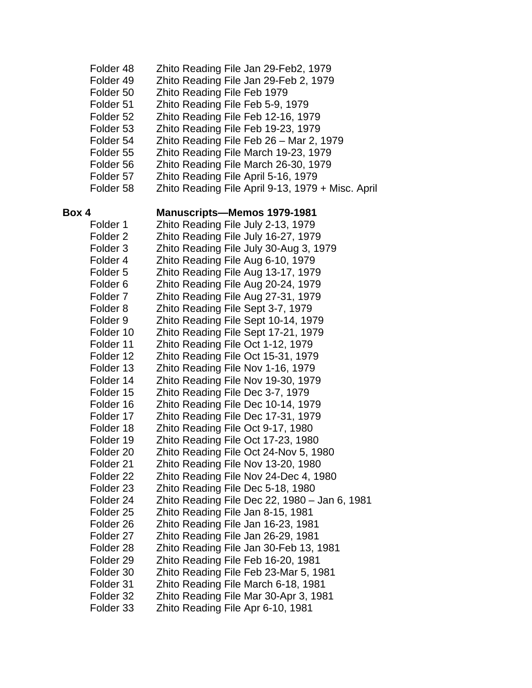| Folder 48            | Zhito Reading File Jan 29-Feb2, 1979              |
|----------------------|---------------------------------------------------|
| Folder 49            | Zhito Reading File Jan 29-Feb 2, 1979             |
| Folder 50            | Zhito Reading File Feb 1979                       |
| Folder 51            | Zhito Reading File Feb 5-9, 1979                  |
| Folder 52            | Zhito Reading File Feb 12-16, 1979                |
| Folder 53            | Zhito Reading File Feb 19-23, 1979                |
| Folder 54            | Zhito Reading File Feb 26 - Mar 2, 1979           |
| Folder 55            | Zhito Reading File March 19-23, 1979              |
| Folder 56            | Zhito Reading File March 26-30, 1979              |
| Folder 57            | Zhito Reading File April 5-16, 1979               |
|                      |                                                   |
| Folder 58            | Zhito Reading File April 9-13, 1979 + Misc. April |
| Box 4                | <b>Manuscripts-Memos 1979-1981</b>                |
| Folder 1             | Zhito Reading File July 2-13, 1979                |
| Folder <sub>2</sub>  | Zhito Reading File July 16-27, 1979               |
| Folder <sub>3</sub>  | Zhito Reading File July 30-Aug 3, 1979            |
| Folder 4             | Zhito Reading File Aug 6-10, 1979                 |
| Folder <sub>5</sub>  | Zhito Reading File Aug 13-17, 1979                |
| Folder <sub>6</sub>  | Zhito Reading File Aug 20-24, 1979                |
| Folder <sub>7</sub>  | Zhito Reading File Aug 27-31, 1979                |
| Folder <sub>8</sub>  | Zhito Reading File Sept 3-7, 1979                 |
| Folder <sub>9</sub>  |                                                   |
|                      | Zhito Reading File Sept 10-14, 1979               |
| Folder 10            | Zhito Reading File Sept 17-21, 1979               |
| Folder 11            | Zhito Reading File Oct 1-12, 1979                 |
| Folder 12            | Zhito Reading File Oct 15-31, 1979                |
| Folder 13            | Zhito Reading File Nov 1-16, 1979                 |
| Folder 14            | Zhito Reading File Nov 19-30, 1979                |
| Folder 15            | Zhito Reading File Dec 3-7, 1979                  |
| Folder 16            | Zhito Reading File Dec 10-14, 1979                |
| Folder 17            | Zhito Reading File Dec 17-31, 1979                |
| Folder 18            | Zhito Reading File Oct 9-17, 1980                 |
| Folder 19            | Zhito Reading File Oct 17-23, 1980                |
| Folder 20            | Zhito Reading File Oct 24-Nov 5, 1980             |
| Folder 21            | Zhito Reading File Nov 13-20, 1980                |
| Folder <sub>22</sub> | Zhito Reading File Nov 24-Dec 4, 1980             |
| Folder <sub>23</sub> | Zhito Reading File Dec 5-18, 1980                 |
| Folder 24            | Zhito Reading File Dec 22, 1980 - Jan 6, 1981     |
| Folder 25            | Zhito Reading File Jan 8-15, 1981                 |
| Folder 26            | Zhito Reading File Jan 16-23, 1981                |
| Folder 27            | Zhito Reading File Jan 26-29, 1981                |
| Folder 28            | Zhito Reading File Jan 30-Feb 13, 1981            |
| Folder 29            | Zhito Reading File Feb 16-20, 1981                |
| Folder 30            | Zhito Reading File Feb 23-Mar 5, 1981             |
| Folder 31            | Zhito Reading File March 6-18, 1981               |
| Folder 32            | Zhito Reading File Mar 30-Apr 3, 1981             |
| Folder 33            | Zhito Reading File Apr 6-10, 1981                 |
|                      |                                                   |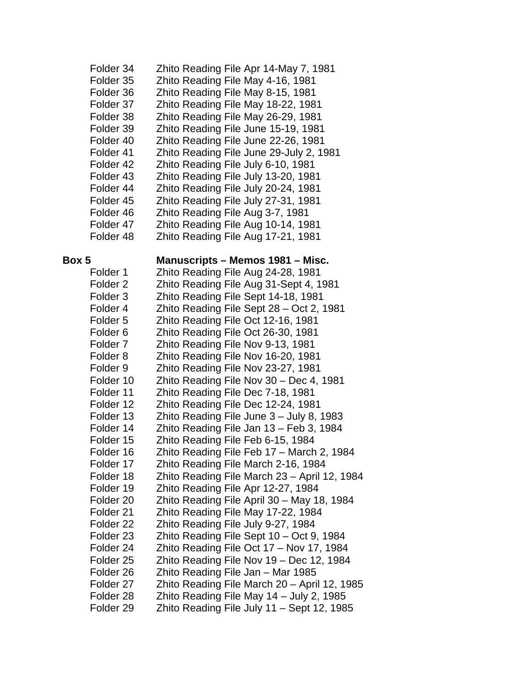| Folder 34            | Zhito Reading File Apr 14-May 7, 1981   |
|----------------------|-----------------------------------------|
| Folder 35            | Zhito Reading File May 4-16, 1981       |
| Folder 36            | Zhito Reading File May 8-15, 1981       |
| Folder 37            | Zhito Reading File May 18-22, 1981      |
| Folder 38            | Zhito Reading File May 26-29, 1981      |
| Folder 39            | Zhito Reading File June 15-19, 1981     |
| Folder <sub>40</sub> | Zhito Reading File June 22-26, 1981     |
| Folder 41            | Zhito Reading File June 29-July 2, 1981 |
| Folder 42            | Zhito Reading File July 6-10, 1981      |
| Folder <sub>43</sub> | Zhito Reading File July 13-20, 1981     |
| Folder 44            | Zhito Reading File July 20-24, 1981     |
| Folder <sub>45</sub> | Zhito Reading File July 27-31, 1981     |
| Folder 46            | Zhito Reading File Aug 3-7, 1981        |
| Folder 47            | Zhito Reading File Aug 10-14, 1981      |
| Folder 48            | Zhito Reading File Aug 17-21, 1981      |
|                      |                                         |

### **Box 5 Manuscripts – Memos 1981 – Misc.**

| Folder 1             | Zhito Reading File Aug 24-28, 1981           |
|----------------------|----------------------------------------------|
| Folder <sub>2</sub>  | Zhito Reading File Aug 31-Sept 4, 1981       |
| Folder <sub>3</sub>  | Zhito Reading File Sept 14-18, 1981          |
| Folder 4             | Zhito Reading File Sept 28 - Oct 2, 1981     |
| Folder <sub>5</sub>  | Zhito Reading File Oct 12-16, 1981           |
| Folder <sub>6</sub>  | Zhito Reading File Oct 26-30, 1981           |
| Folder <sub>7</sub>  | Zhito Reading File Nov 9-13, 1981            |
| Folder <sub>8</sub>  | Zhito Reading File Nov 16-20, 1981           |
| Folder <sub>9</sub>  | Zhito Reading File Nov 23-27, 1981           |
| Folder 10            | Zhito Reading File Nov 30 - Dec 4, 1981      |
| Folder 11            | Zhito Reading File Dec 7-18, 1981            |
| Folder 12            | Zhito Reading File Dec 12-24, 1981           |
| Folder 13            | Zhito Reading File June 3 - July 8, 1983     |
| Folder 14            | Zhito Reading File Jan 13 - Feb 3, 1984      |
| Folder 15            | Zhito Reading File Feb 6-15, 1984            |
| Folder 16            | Zhito Reading File Feb 17 - March 2, 1984    |
| Folder 17            | Zhito Reading File March 2-16, 1984          |
| Folder 18            | Zhito Reading File March 23 - April 12, 1984 |
| Folder 19            | Zhito Reading File Apr 12-27, 1984           |
| Folder <sub>20</sub> | Zhito Reading File April 30 - May 18, 1984   |
| Folder 21            | Zhito Reading File May 17-22, 1984           |
| Folder <sub>22</sub> | Zhito Reading File July 9-27, 1984           |
| Folder 23            | Zhito Reading File Sept 10 - Oct 9, 1984     |
| Folder <sub>24</sub> | Zhito Reading File Oct 17 - Nov 17, 1984     |
| Folder <sub>25</sub> | Zhito Reading File Nov 19 - Dec 12, 1984     |
| Folder 26            | Zhito Reading File Jan - Mar 1985            |
| Folder <sub>27</sub> | Zhito Reading File March 20 - April 12, 1985 |
| Folder 28            | Zhito Reading File May 14 - July 2, 1985     |
| Folder <sub>29</sub> | Zhito Reading File July 11 - Sept 12, 1985   |
|                      |                                              |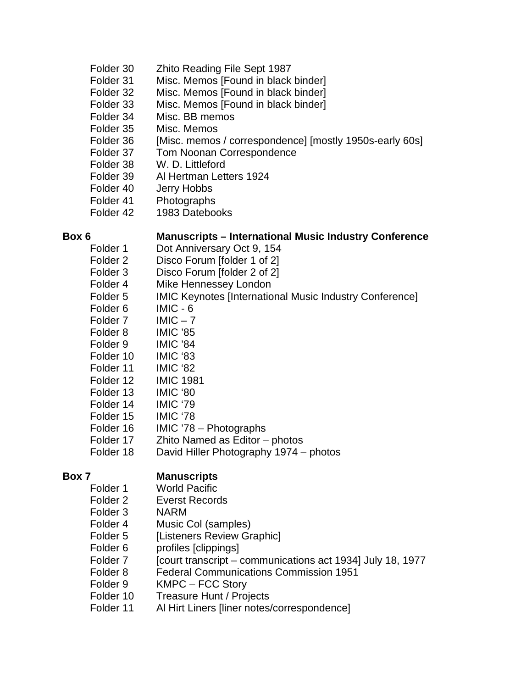- Folder 30 Zhito Reading File Sept 1987
- Folder 31 Misc. Memos [Found in black binder]
- Folder 32 Misc. Memos [Found in black binder]
- Folder 33 Misc. Memos [Found in black binder]
- Folder 34 Misc. BB memos
- Folder 35 Misc. Memos
- Folder 36 [Misc. memos / correspondence] [mostly 1950s-early 60s]
- Folder 37 Tom Noonan Correspondence
- Folder 38 W. D. Littleford
- Folder 39 Al Hertman Letters 1924
- Folder 40 Jerry Hobbs
- Folder 41 Photographs
- Folder 42 1983 Datebooks

### **Box 6 Manuscripts – International Music Industry Conference**

- Folder 1 Dot Anniversary Oct 9, 154
- Folder 2 Disco Forum [folder 1 of 2]
- Folder 3 Disco Forum [folder 2 of 2]
- Folder 4 Mike Hennessey London
- Folder 5 **IMIC Keynotes [International Music Industry Conference]**
- Folder 6 IMIC 6
- Folder  $7$  IMIC  $7$
- Folder 8 IMIC '85
- Folder 9 IMIC '84
- Folder 10 IMIC '83
- Folder 11 IMIC '82
- Folder 12 IMIC 1981
- Folder 13 IMIC '80
- 
- Folder 14 IMIC '79
- Folder 15 IMIC '78
- Folder 16 IMIC '78 Photographs
- Folder 17 Zhito Named as Editor photos
- Folder 18 David Hiller Photography 1974 photos

### **Box 7 Manuscripts**

- Folder 1 World Pacific
- Folder 2 Everst Records
- Folder 3 NARM
- Folder 4 Music Col (samples)
- Folder 5 [Listeners Review Graphic]
- Folder 6 profiles [clippings]
- Folder 7 [court transcript communications act 1934] July 18, 1977
- Folder 8 Federal Communications Commission 1951
- Folder 9 KMPC FCC Story
- Folder 10 Treasure Hunt / Projects
- Folder 11 Al Hirt Liners [liner notes/correspondence]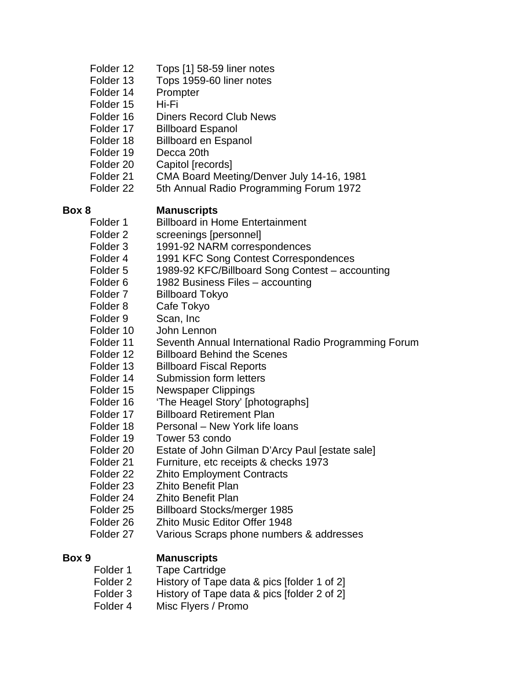| Folder 12 | Tops [1] 58-59 liner notes |
|-----------|----------------------------|
|-----------|----------------------------|

- Folder 13 Tops 1959-60 liner notes
- Folder 14 Prompter
- Folder 15 Hi-Fi
- Folder 16 Diners Record Club News
- Folder 17 Billboard Espanol
- Folder 18 Billboard en Espanol
- Folder 19 Decca 20th
- Folder 20 Capitol [records]
- Folder 21 CMA Board Meeting/Denver July 14-16, 1981
- Folder 22 5th Annual Radio Programming Forum 1972

### **Box 8 Manuscripts**

- Folder 1 Billboard in Home Entertainment
- Folder 2 screenings [personnel]
- Folder 3 1991-92 NARM correspondences
- Folder 4 1991 KFC Song Contest Correspondences
- Folder 5 1989-92 KFC/Billboard Song Contest accounting
- Folder 6 1982 Business Files accounting
- Folder 7 Billboard Tokyo
- Folder 8 Cafe Tokyo
- Folder 9 Scan, Inc.
- Folder 10 John Lennon
- Folder 11 Seventh Annual International Radio Programming Forum
- Folder 12 Billboard Behind the Scenes
- Folder 13 Billboard Fiscal Reports
- Folder 14 Submission form letters
- Folder 15 Newspaper Clippings<br>Folder 16 Fhe Heagel Story' Int
- 'The Heagel Story' [photographs]
- Folder 17 Billboard Retirement Plan
- Folder 18 Personal New York life loans
- Folder 19 Tower 53 condo
- Folder 20 Estate of John Gilman D'Arcy Paul [estate sale]
- Folder 21 Furniture, etc receipts & checks 1973
- Folder 22 Zhito Employment Contracts
- Folder 23 Zhito Benefit Plan
- Folder 24 Zhito Benefit Plan
- Folder 25 Billboard Stocks/merger 1985
- Folder 26 Zhito Music Editor Offer 1948
- Folder 27 Various Scraps phone numbers & addresses

- **Box 9 Manuscripts**<br>Folder 1 Tape Cartridg **Tape Cartridge** 
	- Folder 2 History of Tape data & pics [folder 1 of 2]
	- Folder 3 History of Tape data & pics [folder 2 of 2]
	- Folder 4 Misc Flyers / Promo